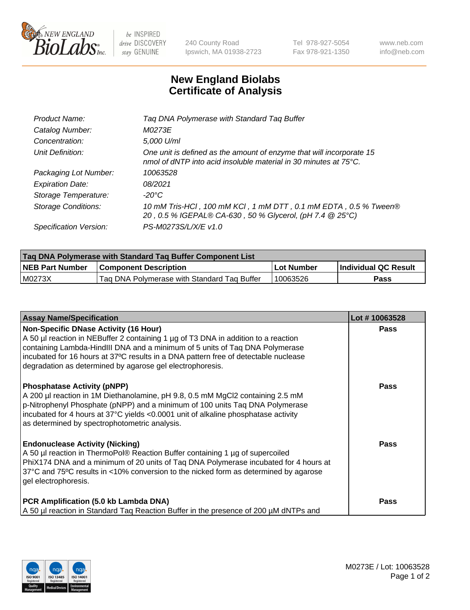

 $be$  INSPIRED drive DISCOVERY stay GENUINE

240 County Road Ipswich, MA 01938-2723 Tel 978-927-5054 Fax 978-921-1350 www.neb.com info@neb.com

## **New England Biolabs Certificate of Analysis**

| Product Name:              | Tag DNA Polymerase with Standard Tag Buffer                                                                                              |
|----------------------------|------------------------------------------------------------------------------------------------------------------------------------------|
| Catalog Number:            | M0273E                                                                                                                                   |
| Concentration:             | 5,000 U/ml                                                                                                                               |
| Unit Definition:           | One unit is defined as the amount of enzyme that will incorporate 15<br>nmol of dNTP into acid insoluble material in 30 minutes at 75°C. |
| Packaging Lot Number:      | 10063528                                                                                                                                 |
| <b>Expiration Date:</b>    | 08/2021                                                                                                                                  |
| Storage Temperature:       | $-20^{\circ}$ C                                                                                                                          |
| <b>Storage Conditions:</b> | 10 mM Tris-HCl, 100 mM KCl, 1 mM DTT, 0.1 mM EDTA, 0.5 % Tween®<br>20, 0.5 % IGEPAL® CA-630, 50 % Glycerol, (pH 7.4 @ 25°C)              |
| Specification Version:     | PS-M0273S/L/X/E v1.0                                                                                                                     |

| Tag DNA Polymerase with Standard Tag Buffer Component List |                                             |            |                      |  |
|------------------------------------------------------------|---------------------------------------------|------------|----------------------|--|
| <b>NEB Part Number</b>                                     | <b>Component Description</b>                | Lot Number | Individual QC Result |  |
| M0273X                                                     | Tag DNA Polymerase with Standard Tag Buffer | 10063526   | Pass                 |  |

| <b>Assay Name/Specification</b>                                                                                                                                                                                                                                                                                                                                        | Lot #10063528 |
|------------------------------------------------------------------------------------------------------------------------------------------------------------------------------------------------------------------------------------------------------------------------------------------------------------------------------------------------------------------------|---------------|
| <b>Non-Specific DNase Activity (16 Hour)</b><br>A 50 µl reaction in NEBuffer 2 containing 1 µg of T3 DNA in addition to a reaction<br>containing Lambda-HindIII DNA and a minimum of 5 units of Taq DNA Polymerase<br>incubated for 16 hours at 37°C results in a DNA pattern free of detectable nuclease<br>degradation as determined by agarose gel electrophoresis. | <b>Pass</b>   |
| <b>Phosphatase Activity (pNPP)</b><br>A 200 µl reaction in 1M Diethanolamine, pH 9.8, 0.5 mM MgCl2 containing 2.5 mM<br>p-Nitrophenyl Phosphate (pNPP) and a minimum of 100 units Taq DNA Polymerase<br>incubated for 4 hours at 37°C yields <0.0001 unit of alkaline phosphatase activity<br>as determined by spectrophotometric analysis.                            | <b>Pass</b>   |
| <b>Endonuclease Activity (Nicking)</b><br>A 50 µl reaction in ThermoPol® Reaction Buffer containing 1 µg of supercoiled<br>PhiX174 DNA and a minimum of 20 units of Tag DNA Polymerase incubated for 4 hours at<br>37°C and 75°C results in <10% conversion to the nicked form as determined by agarose<br>gel electrophoresis.                                        | Pass          |
| PCR Amplification (5.0 kb Lambda DNA)<br>A 50 µl reaction in Standard Tag Reaction Buffer in the presence of 200 µM dNTPs and                                                                                                                                                                                                                                          | Pass          |